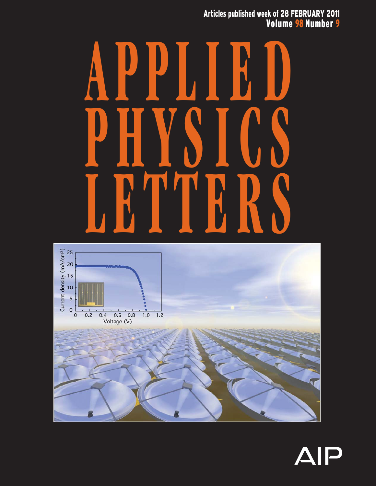Articles published week of 28 FEBRUARY 2011 Volume 98 Number 9

## **APPLIED PHYSICS LETTERS**



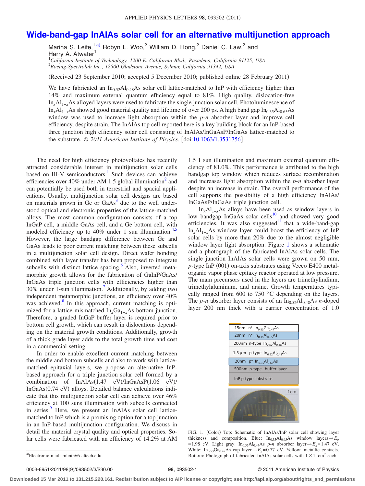## **[Wide-band-gap InAlAs solar cell for an alternative multijunction approach](http://dx.doi.org/10.1063/1.3531756)**

Marina S. Leite,  $1, a$ <sup>2</sup> Robyn L. Woo, <sup>2</sup> William D. Hong, <sup>2</sup> Daniel C. Law, <sup>2</sup> and Harry A. Atwater<sup>1</sup>

1 *California Institute of Technology, 1200 E. California Blvd., Pasadena, California 91125, USA* 2 *Boeing-Spectrolab Inc., 12500 Gladstone Avenue, Sylmar, California 91342, USA*

(Received 23 September 2010; accepted 5 December 2010; published online 28 February 2011)

We have fabricated an  $In<sub>0.52</sub>Al<sub>0.48</sub>As$  solar cell lattice-matched to InP with efficiency higher than 14% and maximum external quantum efficiency equal to 81%. High quality, dislocation-free In*x*Al1−*x*As alloyed layers were used to fabricate the single junction solar cell. Photoluminescence of In<sub>*i*</sub>Al<sub>1−*x*</sub>As showed good material quality and lifetime of over 200 ps. A high band gap In<sub>0.35</sub>Al<sub>0.65</sub>As window was used to increase light absorption within the *p*-*n* absorber layer and improve cell efficiency, despite strain. The InAlAs top cell reported here is a key building block for an InP-based three junction high efficiency solar cell consisting of InAlAs/InGaAsP/InGaAs lattice-matched to the substrate. © 2011 American Institute of Physics. [doi[:10.1063/1.3531756](http://dx.doi.org/10.1063/1.3531756)]

The need for high efficiency photovoltaics has recently attracted considerable interest in multijunction solar cells based on III-V semiconductors.<sup>1</sup> Such devices can achieve efficiencies over 40% under AM 1.5 global illumination<sup>2</sup> and can potentially be used both in terrestrial and spacial applications. Usually, multijunction solar cell designs are based on materials grown in Ge or  $GaAs<sup>3</sup>$  due to the well understood optical and electronic properties of the lattice-matched alloys. The most common configuration consists of a top InGaP cell, a middle GaAs cell, and a Ge bottom cell, with modeled efficiency up to  $40\%$  under 1 sun illumination.<sup>4[,5](#page-3-4)</sup> However, the large bandgap difference between Ge and GaAs leads to poor current matching between these subcells in a multijunction solar cell design. Direct wafer bonding combined with layer transfer has been proposed to integrate subcells with distinct lattice spacing.<sup>6</sup> Also, inverted metamorphic growth allows for the fabrication of GaInP/GaAs/ InGaAs triple junction cells with efficiencies higher than 30% under 1-sun illumination[.7](#page-3-6) Additionally, by adding two independent metamorphic junctions, an efficiency over 40% was achieved. $8$  In this approach, current matching is optimized for a lattice-mismatched In<sub>x</sub>Ga<sub>1-*x*</sub>As bottom junction. Therefore, a graded InGaP buffer layer is required prior to bottom cell growth, which can result in dislocations depending on the material growth conditions. Additionally, growth of a thick grade layer adds to the total growth time and cost in a commercial setting.

In order to enable excellent current matching between the middle and bottom subcells and also to work with latticematched epitaxial layers, we propose an alternative InPbased approach for a triple junction solar cell formed by a combination of  $InAlAs(1.47 \text{ eV})/InGaAsP(1.06 \text{ eV})/$ InGaAs(0.74 eV) alloys. Detailed balance calculations indicate that this multijunction solar cell can achieve over 46% efficiency at 100 suns illumination with subcells connected in series.<sup>9</sup> Here, we present an InAlAs solar cell latticematched to InP which is a promising option for a top junction in an InP-based multijunction configuration. We discuss in detail the material crystal quality and optical properties. Solar cells were fabricated with an efficiency of 14.2% at AM

1.5 1 sun illumination and maximum external quantum efficiency of 81.0%. This performance is attributed to the high bandgap top window which reduces surface recombination and increases light absorption within the *p*-*n* absorber layer despite an increase in strain. The overall performance of the cell supports the possibility of a high efficiency InAlAs/ InGaAsP/InGaAs triple junction cell.

 $In_xAl_{1-x}As$  alloys have been used as window layers in low bandgap InGaAs solar cells<sup>10</sup> and showed very good Fiction of the state of  $\frac{1}{2}$  and  $\frac{1}{2}$  such a wide-band-gap efficiencies. It was also suggested<sup>11</sup> that a wide-band-gap  $In_xAl_{1-x}As$  window layer could boost the efficiency of InP solar cells by more than 20% due to the almost negligible window layer light absorption. Figure [1](#page-1-1) shows a schematic and a photograph of the fabricated InAlAs solar cells. The single junction InAlAs solar cells were grown on 50 mm, p-type InP (001) on-axis substrates using Veeco E400 metalorganic vapor phase epitaxy reactor operated at low pressure. The main precursors used in the layers are trimethylindium, trimethylaluminum, and arsine. Growth temperatures typically ranged from 600 to 750 °C depending on the layers. The *p*-*n* absorber layer consists of an  $In_{0.52}Al_{0.48}As$  *n*-doped layer 200 nm thick with a carrier concentration of 1.0

<span id="page-1-1"></span>

FIG. 1. (Color) Top: Schematic of InAlAs/InP solar cell showing layer thickness and composition. Blue:  $In<sub>0.35</sub>Al<sub>0.65</sub>As$  window layers  $\rightarrow E<sub>g</sub>$ = 1.98 eV. Light gray:  $In_{0.52}Al_{0.47}As$  *p-n* absorber layer  $\rightarrow E_g = 1.47$  eV. White: In<sub>0.53</sub>Ga<sub>0.47</sub>As cap layer  $\rightarrow$   $E_g$  = 0.77 eV. Yellow: metallic contacts. Bottom: Photograph of fabricated InAlAs solar cells with  $1 \times 1$  cm<sup>2</sup> each.

0003-6951/2011/98(9)/093502/3/\$30.00

## /093502/3/\$30.00 © 2011 American Institute of Physics **98**, 093502-1

**Downloaded 15 Mar 2011 to 131.215.220.161. Redistribution subject to AIP license or copyright; see http://apl.aip.org/about/rights\_and\_permissions**

<span id="page-1-0"></span>a)Electronic mail: mleite@caltech.edu.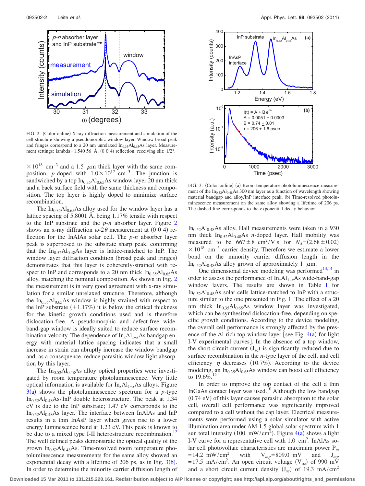<span id="page-2-0"></span>

FIG. 2. (Color online) X-ray diffraction measurement and simulation of the cell structure showing a pseudomorphic window layer. Window broad peak and fringes correspond to a 20 nm unrelaxed  $In<sub>0.35</sub>Al<sub>0.65</sub>As layer. Measure$ ment settings: lambda= 1.540 56 Å,  $(0\ 0\ 4)$  reflection, receiving slit:  $1/2^{\circ}$ .

 $\times$  10<sup>18</sup> cm<sup>-3</sup> and a 1.5  $\mu$ m thick layer with the same composition, *p*-doped with  $1.0 \times 10^{17}$  cm<sup>-3</sup>. The junction is sandwiched by a top  $In_{0.35}Al_{0.65}As$  window layer 20 nm thick and a back surface field with the same thickness and composition. The top layer is highly doped to minimize surface recombination.

The  $In<sub>0.35</sub>Al<sub>0.65</sub>As$  alloy used for the window layer has a lattice spacing of 5.8001 Å, being 1.17% tensile with respect to the InP substrate and the *p*-*n* absorber layer. Figure [2](#page-2-0) shows an x-ray diffraction  $\omega$ -2 $\theta$  measurement at (0 0 4) reflection for the InAlAs solar cell. The *p*-*n* absorber layer peak is superposed to the substrate sharp peak, confirming that the  $In<sub>0.52</sub>Al<sub>0.48</sub>As layer is lattice-matched to InP. The$ window layer diffraction condition (broad peak and fringes) demonstrates that this layer is coherently-strained with respect to InP and corresponds to a 20 nm thick  $In<sub>0.35</sub>Al<sub>0.65</sub>As$ alloy, matching the nominal composition. As shown in Fig. [2](#page-2-0) the measurement is in very good agreement with x-ray simulation for a similar unrelaxed structure. Therefore, although the  $In<sub>0.35</sub>Al<sub>0.65</sub>As window is highly strained with respect to$ the InP substrate  $(+1.17%)$  it is below the critical thickness for the kinetic growth conditions used and is therefore dislocation-free. A pseudomorphic and defect-free wideband-gap window is ideally suited to reduce surface recombination velocity. The dependence of In<sub>x</sub>Al<sub>1−*x*</sub>As bandgap energy with material lattice spacing indicates that a small increase in strain can abruptly increase the window bandgap and, as a consequence, reduce parasitic window light absorption by this layer.

The  $In<sub>0.52</sub>Al<sub>0.48</sub>As$  alloy optical properties were investigated by room temperature photoluminescence. Very little optical information is available for In*x*Al1−*x*As alloys. Figure  $3(a)$  $3(a)$  shows the photoluminescence spectrum for a *p*-type  $In<sub>0.52</sub>Al<sub>0.48</sub>As/InP double heterostructure. The peak at 1.34$ eV is due to the InP substrate; 1.47 eV corresponds to the  $In_{0.52}Al_{0.48}As$  layer. The interface between InAlAs and InP results in a thin InAsP layer which gives rise to a lower energy luminescence band at 1.23 eV. This peak is known to be due to a mixed type I-II heterostructure recombination.<sup>12</sup> The well defined peaks demonstrate the optical quality of the grown  $In<sub>0.52</sub>Al<sub>0.48</sub>As. Time-resolved room temperature pho$ toluminescence measurements for the same alloy showed an exponential decay with a lifetime of 206 ps, as in Fig.  $3(b)$  $3(b)$ . In order to determine the minority carrier diffusion length of

<span id="page-2-1"></span>

FIG. 3. (Color online) (a) Room temperature photoluminescence measurement of the  $In<sub>0.52</sub>Al<sub>0.48</sub>As 300 nm layer as a function of wavelength showing$ material bandgap and alloy/InP interface peak. (b) Time-resolved photoluminescence measurement on the same alloy showing a lifetime of 206 ps. The dashed line corresponds to the exponential decay behavior.

 $In<sub>0.52</sub>Al<sub>0.48</sub>As$  alloy, Hall measurements were taken in a 930 nm thick  $In<sub>0.52</sub>Al<sub>0.48</sub>As n-doped layer. Hall mobility was$ measured to be  $667 \pm 8$  cm<sup>2</sup>/V s for  $N_d = (2.68 \pm 0.02)$  $\times$  10<sup>18</sup> cm<sup>-3</sup> carrier density. Therefore we estimate a lower bond on the minority carrier diffusion length in the In<sub>0.52</sub>Al<sub>0.48</sub>As alloy grown of approximately 1  $\mu$ m.

One dimensional device modeling was performed $13,14$  $13,14$  in order to assess the performance of In<sub>x</sub>Al<sub>1−*x*</sub>As wide-band-gap window layers. The results are shown in Table [I](#page-3-14) for  $In<sub>0.52</sub>Al<sub>0.48</sub>As solar cells lattice-matched to InP with a struc$ ture similar to the one presented in Fig. [1.](#page-1-1) The effect of a 20 nm thick  $In<sub>0.35</sub>Al<sub>0.65</sub>As window layer was investigated,$ which can be synthesized dislocation-free, depending on specific growth conditions. According to the device modeling, the overall cell performance is strongly affected by the presence of the Al-rich top window layer [see Fig.  $4(a)$  $4(a)$  for light I-V experimental curves. In the absence of a top window, the short circuit current  $(J_{\rm sc})$  is significantly reduced due to surface recombination in the *n*-type layer of the cell, and cell efficiency  $\eta$  decreases (10.7%). According to the device modeling, an  $In<sub>0.35</sub>Al<sub>0.65</sub>As window can boost cell efficiency$ to  $19.6\%$ <sup>15</sup>

In order to improve the top contact of the cell a thin InGaAs contact layer was used.<sup>10</sup> Although the low bandgap (0.74 eV) of this layer causes parasitic absorption to the solar cell, overall cell performance was significantly improved compared to a cell without the cap layer. Electrical measurements were performed using a solar simulator with active illumination area under AM 1.5 global solar spectrum with 1 sun total intensity (100 mW/cm<sup>2</sup>). Figure  $4(a)$  $4(a)$  shows a light I-V curve for a representative cell with 1.0 cm<sup>2</sup>. InAlAs solar cell photovoltaic characteristics are maximum power  $P_m$ <br>=14.2 mW/cm<sup>2</sup> with  $V_{mn}$ =809.0 mV and  $J_{mn}$  $V_{mp} = 809.0 \text{ mV}$  and  $J_{mp}$ =17.5 mA/cm<sup>2</sup>. An open circuit voltage (V<sub>oc</sub>) of 990 mV and a short circuit current density  $(J_{\rm sc})$  of 19.3 mA/cm<sup>2</sup>

**Downloaded 15 Mar 2011 to 131.215.220.161. Redistribution subject to AIP license or copyright; see http://apl.aip.org/about/rights\_and\_permissions**